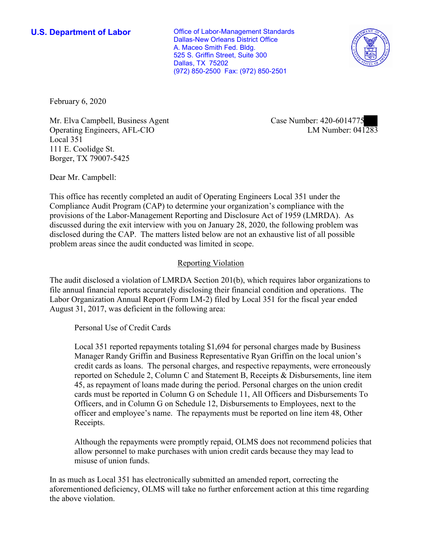**U.S. Department of Labor Conservative Conservative Conservative U.S. Department of Labor** Dallas-New Orleans District Office A. Maceo Smith Fed. Bldg. 525 S. Griffin Street, Suite 300 Dallas, TX 75202 (972) 850-2500 Fax: (972) 850-2501



February 6, 2020

Mr. Elva Campbell, Business Agent Operating Engineers, AFL-CIO Local 351 111 E. Coolidge St. Borger, TX 79007-5425

Case Number: 420-6014775<br>LM Number: 041283

Dear Mr. Campbell:

 This office has recently completed an audit of Operating Engineers Local 351 under the Compliance Audit Program (CAP) to determine your organization's compliance with the provisions of the Labor-Management Reporting and Disclosure Act of 1959 (LMRDA). As discussed during the exit interview with you on January 28, 2020, the following problem was disclosed during the CAP. The matters listed below are not an exhaustive list of all possible problem areas since the audit conducted was limited in scope.

## Reporting Violation

 Labor Organization Annual Report (Form LM-2) filed by Local 351 for the fiscal year ended The audit disclosed a violation of LMRDA Section 201(b), which requires labor organizations to file annual financial reports accurately disclosing their financial condition and operations. The August 31, 2017, was deficient in the following area:

Personal Use of Credit Cards

 45, as repayment of loans made during the period. Personal charges on the union credit officer and employee's name. The repayments must be reported on line item 48, Other Local 351 reported repayments totaling \$1,694 for personal charges made by Business Manager Randy Griffin and Business Representative Ryan Griffin on the local union's credit cards as loans. The personal charges, and respective repayments, were erroneously reported on Schedule 2, Column C and Statement B, Receipts & Disbursements, line item cards must be reported in Column G on Schedule 11, All Officers and Disbursements To Officers, and in Column G on Schedule 12, Disbursements to Employees, next to the Receipts.

 allow personnel to make purchases with union credit cards because they may lead to Although the repayments were promptly repaid, OLMS does not recommend policies that misuse of union funds.

 In as much as Local 351 has electronically submitted an amended report, correcting the aforementioned deficiency, OLMS will take no further enforcement action at this time regarding the above violation.